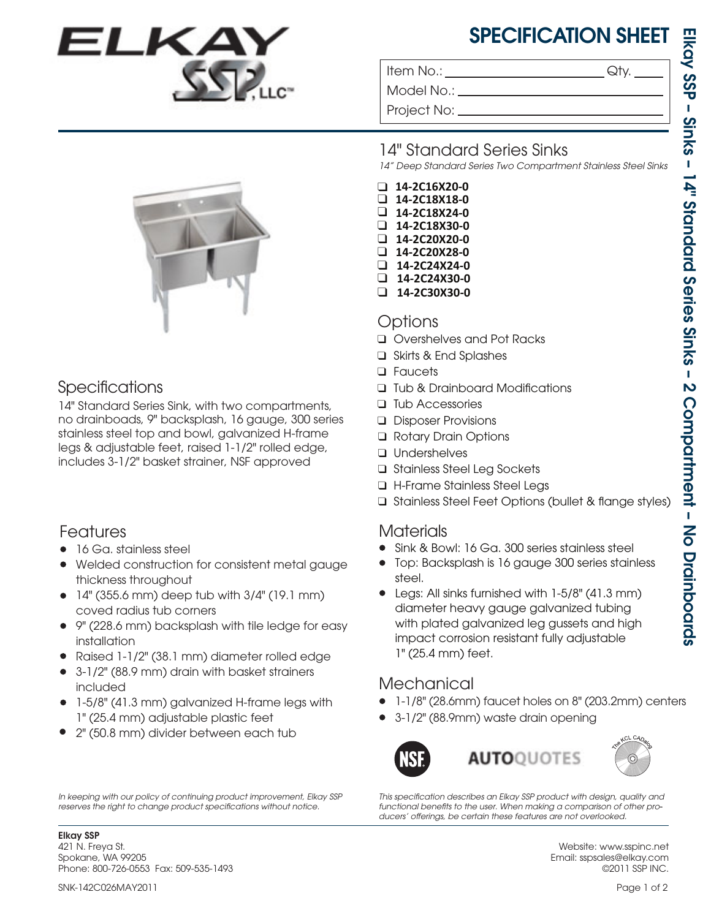# SPECIFICATION SHEET

Item No.:  $\qquad \qquad \mathsf{Qty}.$ 

Model No.: \_

Project No:

## Specifications

14" Standard Series Sink, with two compartments, no drainboads, 9" backsplash, 16 gauge, 300 series stainless steel top and bowl, galvanized H-frame legs & adjustable feet, raised 1-1/2" rolled edge, includes 3-1/2" basket strainer, NSF approved

## Features

- 16 Ga. stainless steel
- Welded construction for consistent metal gauge thickness throughout
- $\bullet$  14" (355.6 mm) deep tub with 3/4" (19.1 mm) coved radius tub corners
- 9" (228.6 mm) backsplash with tile ledge for easy installation
- Raised 1-1/2" (38.1 mm) diameter rolled edge •
- 3-1/2" (88.9 mm) drain with basket strainers included
- 1-5/8" (41.3 mm) galvanized H-frame legs with 1" (25.4 mm) adjustable plastic feet
- 2" (50.8 mm) divider between each tub •

*In keeping with our policy of continuing product improvement, Elkay SSP*  reserves the right to change product specifications without notice.

Elkay SSP 421 N. Freya St. Spokane, WA 99205 Phone: 800-726-0553 Fax: 509-535-1493

### 14" Standard Series Sinks

*14" Deep Standard Series Two Compartment Stainless Steel Sinks*

- ❑ **14-2C16X20-0**
- ❑ **14-2C18X18-0**
- ❑ **14-2C18X24-0**
- ❑ **14-2C18X30-0** ❑ **14-2C20X20-0**
- ❑ **14-2C20X28-0**
- ❑ **14-2C24X24-0**
- ❑ **14-2C24X30-0**
- ❑ **14-2C30X30-0**

#### Options

- ❑ Overshelves and Pot Racks
- Skirts & End Splashes ❑
- Faucets ❑
- □ Tub & Drainboard Modifications
- □ Tub Accessories
- Disposer Provisions ❑
- Rotary Drain Options ❑
- Undershelves ❑
- Stainless Steel Leg Sockets ❑
- H-Frame Stainless Steel Legs ❑
- □ Stainless Steel Feet Options (bullet & flange styles)

# Materials

- Sink & Bowl: 16 Ga. 300 series stainless steel •
- Top: Backsplash is 16 gauge 300 series stainless steel.
- Legs: All sinks furnished with 1-5/8" (41.3 mm) diameter heavy gauge galvanized tubing with plated galvanized leg gussets and high impact corrosion resistant fully adjustable 1" (25.4 mm) feet.

## **Mechanical**

- 1-1/8" (28.6mm) faucet holes on 8" (203.2mm) centers •
- 3-1/2" (88.9mm) waste drain opening •



This specification describes an Elkay SSP product with design, quality and *functional benets to the user. When making a comparison of other pro-* ducers' offerings, be certain these features are not overlooked.

> Website: www.sspinc.net Email: sspsales@elkay.com ©2011 SSP INC.

SNK-142C026MAY2011 Page 1 of 2